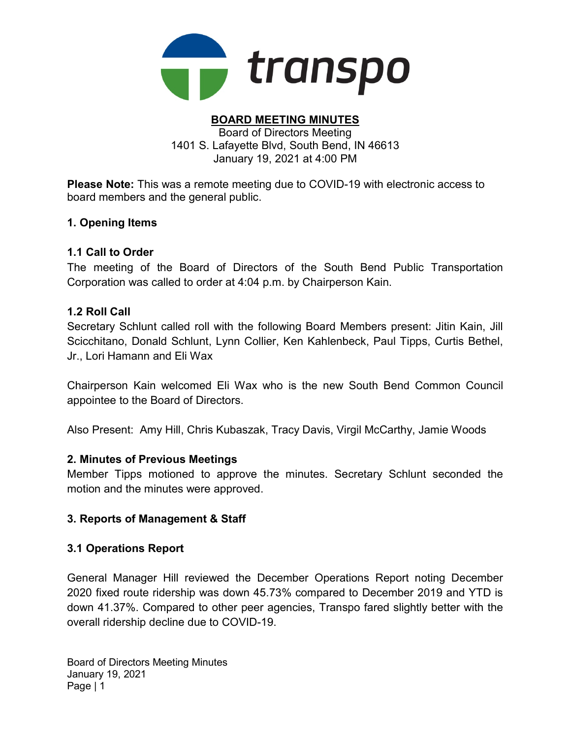

#### BOARD MEETING MINUTES Board of Directors Meeting 1401 S. Lafayette Blvd, South Bend, IN 46613

January 19, 2021 at 4:00 PM

Please Note: This was a remote meeting due to COVID-19 with electronic access to board members and the general public.

### 1. Opening Items

# 1.1 Call to Order

The meeting of the Board of Directors of the South Bend Public Transportation Corporation was called to order at 4:04 p.m. by Chairperson Kain.

# 1.2 Roll Call

Secretary Schlunt called roll with the following Board Members present: Jitin Kain, Jill Scicchitano, Donald Schlunt, Lynn Collier, Ken Kahlenbeck, Paul Tipps, Curtis Bethel, Jr., Lori Hamann and Eli Wax

Chairperson Kain welcomed Eli Wax who is the new South Bend Common Council appointee to the Board of Directors.

Also Present: Amy Hill, Chris Kubaszak, Tracy Davis, Virgil McCarthy, Jamie Woods

### 2. Minutes of Previous Meetings

Member Tipps motioned to approve the minutes. Secretary Schlunt seconded the motion and the minutes were approved.

# 3. Reports of Management & Staff

### 3.1 Operations Report

General Manager Hill reviewed the December Operations Report noting December 2020 fixed route ridership was down 45.73% compared to December 2019 and YTD is down 41.37%. Compared to other peer agencies, Transpo fared slightly better with the overall ridership decline due to COVID-19.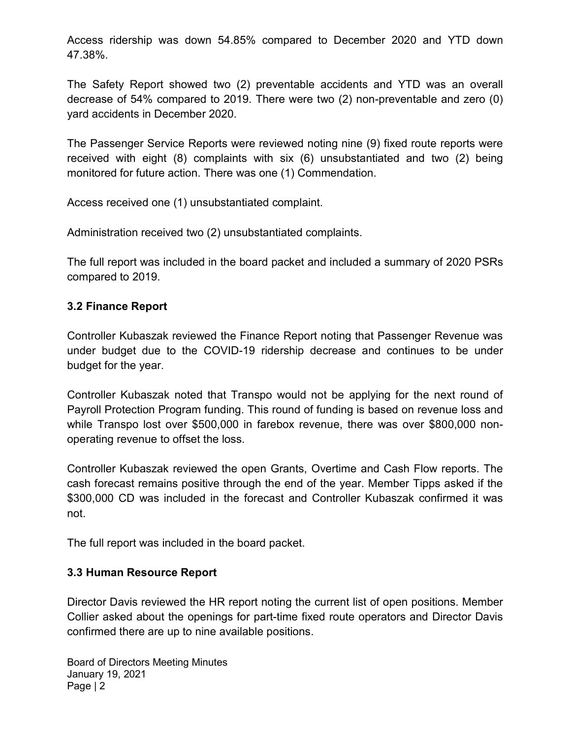Access ridership was down 54.85% compared to December 2020 and YTD down 47.38%.

The Safety Report showed two (2) preventable accidents and YTD was an overall decrease of 54% compared to 2019. There were two (2) non-preventable and zero (0) yard accidents in December 2020.

The Passenger Service Reports were reviewed noting nine (9) fixed route reports were received with eight (8) complaints with six (6) unsubstantiated and two (2) being monitored for future action. There was one (1) Commendation.

Access received one (1) unsubstantiated complaint.

Administration received two (2) unsubstantiated complaints.

The full report was included in the board packet and included a summary of 2020 PSRs compared to 2019.

### 3.2 Finance Report

Controller Kubaszak reviewed the Finance Report noting that Passenger Revenue was under budget due to the COVID-19 ridership decrease and continues to be under budget for the year.

Controller Kubaszak noted that Transpo would not be applying for the next round of Payroll Protection Program funding. This round of funding is based on revenue loss and while Transpo lost over \$500,000 in farebox revenue, there was over \$800,000 nonoperating revenue to offset the loss.

Controller Kubaszak reviewed the open Grants, Overtime and Cash Flow reports. The cash forecast remains positive through the end of the year. Member Tipps asked if the \$300,000 CD was included in the forecast and Controller Kubaszak confirmed it was not.

The full report was included in the board packet.

#### 3.3 Human Resource Report

Director Davis reviewed the HR report noting the current list of open positions. Member Collier asked about the openings for part-time fixed route operators and Director Davis confirmed there are up to nine available positions.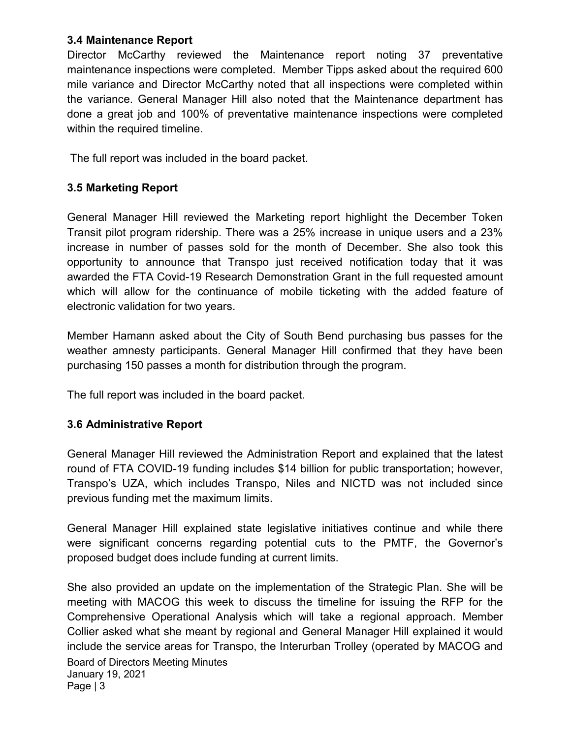#### 3.4 Maintenance Report

Director McCarthy reviewed the Maintenance report noting 37 preventative maintenance inspections were completed. Member Tipps asked about the required 600 mile variance and Director McCarthy noted that all inspections were completed within the variance. General Manager Hill also noted that the Maintenance department has done a great job and 100% of preventative maintenance inspections were completed within the required timeline.

The full report was included in the board packet.

## 3.5 Marketing Report

General Manager Hill reviewed the Marketing report highlight the December Token Transit pilot program ridership. There was a 25% increase in unique users and a 23% increase in number of passes sold for the month of December. She also took this opportunity to announce that Transpo just received notification today that it was awarded the FTA Covid-19 Research Demonstration Grant in the full requested amount which will allow for the continuance of mobile ticketing with the added feature of electronic validation for two years.

Member Hamann asked about the City of South Bend purchasing bus passes for the weather amnesty participants. General Manager Hill confirmed that they have been purchasing 150 passes a month for distribution through the program.

The full report was included in the board packet.

### 3.6 Administrative Report

General Manager Hill reviewed the Administration Report and explained that the latest round of FTA COVID-19 funding includes \$14 billion for public transportation; however, Transpo's UZA, which includes Transpo, Niles and NICTD was not included since previous funding met the maximum limits.

General Manager Hill explained state legislative initiatives continue and while there were significant concerns regarding potential cuts to the PMTF, the Governor's proposed budget does include funding at current limits.

Board of Directors Meeting Minutes January 19, 2021 Page | 3 She also provided an update on the implementation of the Strategic Plan. She will be meeting with MACOG this week to discuss the timeline for issuing the RFP for the Comprehensive Operational Analysis which will take a regional approach. Member Collier asked what she meant by regional and General Manager Hill explained it would include the service areas for Transpo, the Interurban Trolley (operated by MACOG and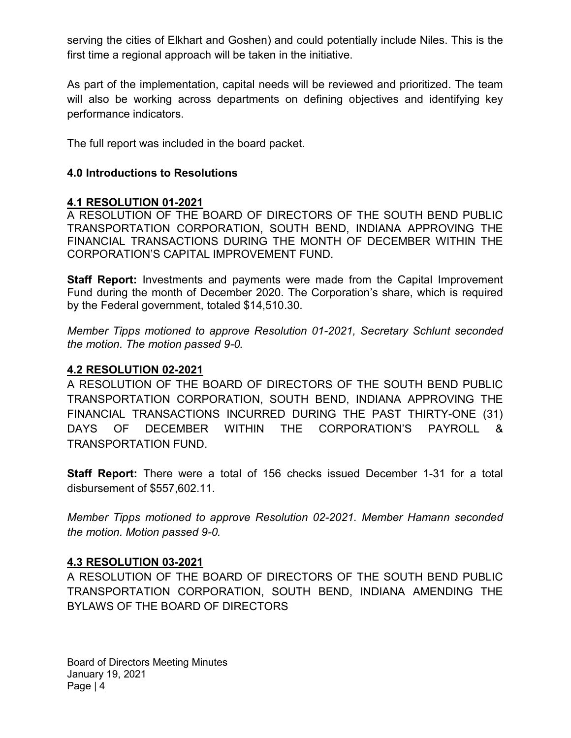serving the cities of Elkhart and Goshen) and could potentially include Niles. This is the first time a regional approach will be taken in the initiative.

As part of the implementation, capital needs will be reviewed and prioritized. The team will also be working across departments on defining objectives and identifying key performance indicators.

The full report was included in the board packet.

#### 4.0 Introductions to Resolutions

#### 4.1 RESOLUTION 01-2021

A RESOLUTION OF THE BOARD OF DIRECTORS OF THE SOUTH BEND PUBLIC TRANSPORTATION CORPORATION, SOUTH BEND, INDIANA APPROVING THE FINANCIAL TRANSACTIONS DURING THE MONTH OF DECEMBER WITHIN THE CORPORATION'S CAPITAL IMPROVEMENT FUND.

**Staff Report:** Investments and payments were made from the Capital Improvement Fund during the month of December 2020. The Corporation's share, which is required by the Federal government, totaled \$14,510.30.

Member Tipps motioned to approve Resolution 01-2021, Secretary Schlunt seconded the motion. The motion passed 9-0.

#### 4.2 RESOLUTION 02-2021

A RESOLUTION OF THE BOARD OF DIRECTORS OF THE SOUTH BEND PUBLIC TRANSPORTATION CORPORATION, SOUTH BEND, INDIANA APPROVING THE FINANCIAL TRANSACTIONS INCURRED DURING THE PAST THIRTY-ONE (31) DAYS OF DECEMBER WITHIN THE CORPORATION'S PAYROLL & TRANSPORTATION FUND.

Staff Report: There were a total of 156 checks issued December 1-31 for a total disbursement of \$557,602.11.

Member Tipps motioned to approve Resolution 02-2021. Member Hamann seconded the motion. Motion passed 9-0.

#### 4.3 RESOLUTION 03-2021

A RESOLUTION OF THE BOARD OF DIRECTORS OF THE SOUTH BEND PUBLIC TRANSPORTATION CORPORATION, SOUTH BEND, INDIANA AMENDING THE BYLAWS OF THE BOARD OF DIRECTORS